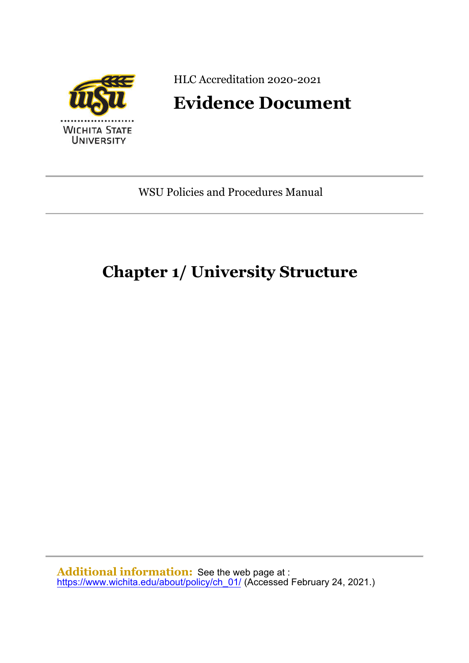

HLC Accreditation 2020-2021

# **Evidence Document**

WSU Policies and Procedures Manual

# **Chapter 1/ University Structure**

**Additional information:** See the web page at : [https://www.wichita.edu/about/policy/ch\\_01/](https://www.wichita.edu/about/policy/ch_01/) (Accessed February 24, 2021.)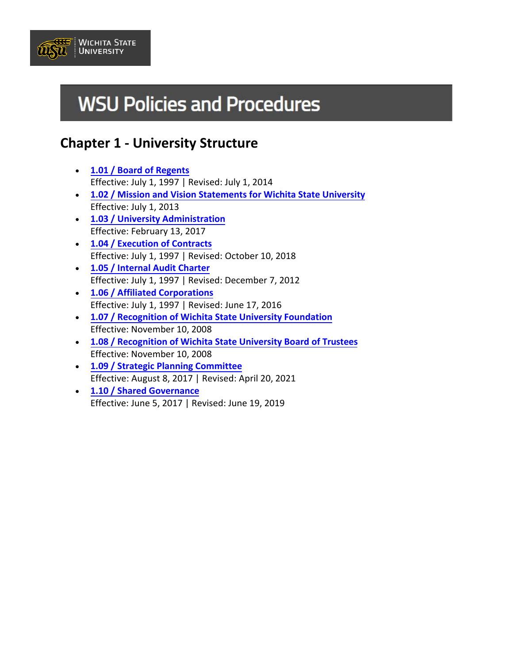

# **WSU Policies and Procedures**

# **Chapter 1 - University Structure**

- **[1.01 / Board of Regents](#page-2-0)** Effective: July 1, 1997 | Revised: July 1, 2014
- **[1.02 / Mission and Vision Statements for](#page-3-0) Wichita State University** Effective: July 1, 2013
- **[1.03 / University](#page-4-0) Administration** Effective: February 13, 2017
- **[1.04 / Execution of](#page-5-0) Contracts** Effective: July 1, 1997 | Revised: October 10, 2018
- **[1.05 / Internal Audit Charter](#page-7-0)** Effective: July 1, 1997 | Revised: December 7, 2012
- **[1.06 / Affiliated Corporations](#page-8-0)** Effective: July 1, 1997 | Revised: June 17, 2016
- **[1.07 / Recognition of Wichita State University Foundation](#page-9-0)** Effective: November 10, 2008
- **[1.08 / Recognition of Wichita State University Board of Trustees](#page-10-0)** Effective: November 10, 2008
- **[1.09 / Strategic Planning Committee](#page--1-0)** Effective: August 8, 2017 | Revised: April 20, 2021
- **[1.10 / Shared Governance](#page-14-0)** Effective: June 5, 2017 | Revised: June 19, 2019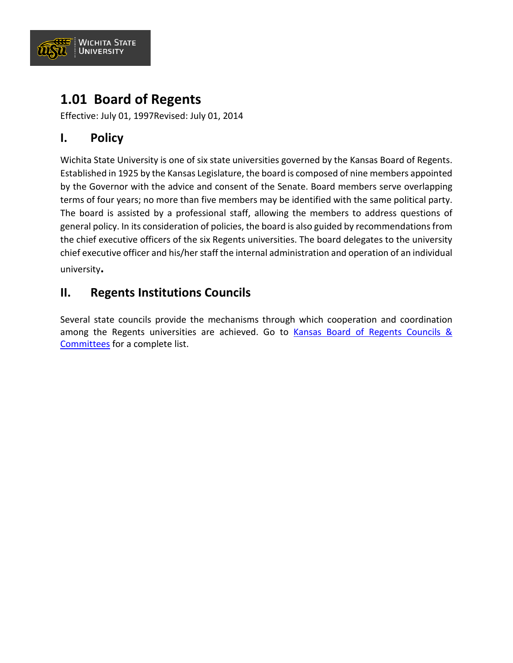

# <span id="page-2-0"></span>**1.01 Board of Regents**

Effective: July 01, 1997Revised: July 01, 2014

## **I. Policy**

Wichita State University is one of six state universities governed by the Kansas Board of Regents. Established in 1925 by the Kansas Legislature, the board is composed of nine members appointed by the Governor with the advice and consent of the Senate. Board members serve overlapping terms of four years; no more than five members may be identified with the same political party. The board is assisted by a professional staff, allowing the members to address questions of general policy. In its consideration of policies, the board is also guided by recommendations from the chief executive officers of the six Regents universities. The board delegates to the university chief executive officer and his/her staff the internal administration and operation of an individual university**.** 

### **II. Regents Institutions Councils**

Several state councils provide the mechanisms through which cooperation and coordination among the Regents universities are achieved. Go to Kansas Board of Regents Councils & [Committees](https://www.kansasregents.org/about/councils_committees) for a complete list.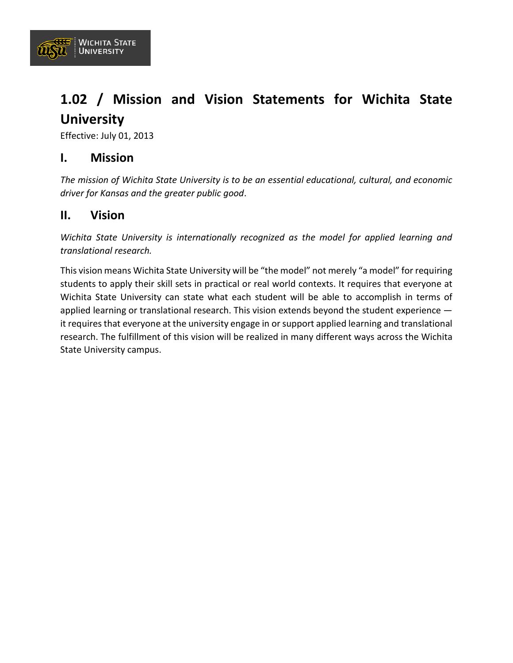

# <span id="page-3-0"></span>**1.02 / Mission and Vision Statements for Wichita State University**

Effective: July 01, 2013

### **I. Mission**

*The mission of Wichita State University is to be an essential educational, cultural, and economic driver for Kansas and the greater public good*.

### **II. Vision**

*Wichita State University is internationally recognized as the model for applied learning and translational research.*

This vision means Wichita State University will be "the model" not merely "a model" for requiring students to apply their skill sets in practical or real world contexts. It requires that everyone at Wichita State University can state what each student will be able to accomplish in terms of applied learning or translational research. This vision extends beyond the student experience – it requires that everyone at the university engage in or support applied learning and translational research. The fulfillment of this vision will be realized in many different ways across the Wichita State University campus.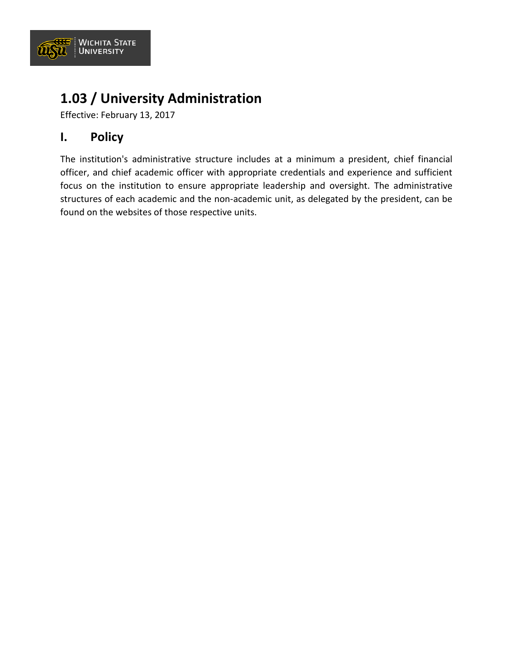

# <span id="page-4-0"></span>**1.03 / University Administration**

Effective: February 13, 2017

## **I. Policy**

The institution's administrative structure includes at a minimum a president, chief financial officer, and chief academic officer with appropriate credentials and experience and sufficient focus on the institution to ensure appropriate leadership and oversight. The administrative structures of each academic and the non-academic unit, as delegated by the president, can be found on the websites of those respective units.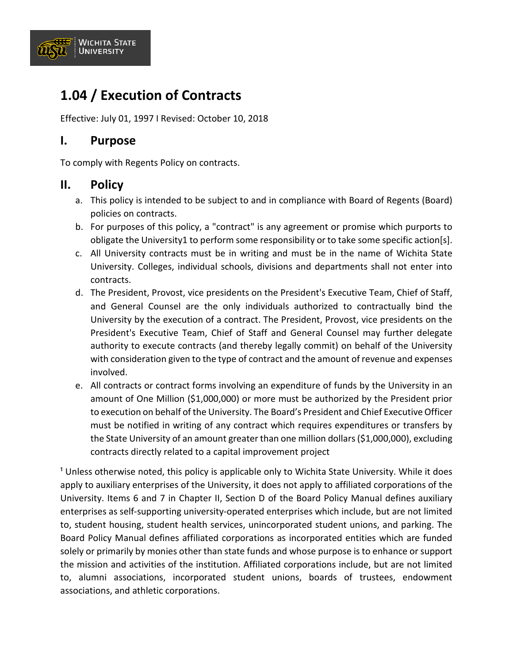

# <span id="page-5-0"></span>**1.04 / Execution of Contracts**

Effective: July 01, 1997 I Revised: October 10, 2018

#### **I. Purpose**

To comply with Regents Policy on contracts.

#### **II. Policy**

- a. This policy is intended to be subject to and in compliance with Board of Regents (Board) policies on contracts.
- b. For purposes of this policy, a "contract" is any agreement or promise which purports to obligate the University1 to perform some responsibility or to take some specific action[s].
- c. All University contracts must be in writing and must be in the name of Wichita State University. Colleges, individual schools, divisions and departments shall not enter into contracts.
- d. The President, Provost, vice presidents on the President's Executive Team, Chief of Staff, and General Counsel are the only individuals authorized to contractually bind the University by the execution of a contract. The President, Provost, vice presidents on the President's Executive Team, Chief of Staff and General Counsel may further delegate authority to execute contracts (and thereby legally commit) on behalf of the University with consideration given to the type of contract and the amount of revenue and expenses involved.
- e. All contracts or contract forms involving an expenditure of funds by the University in an amount of One Million (\$1,000,000) or more must be authorized by the President prior to execution on behalf of the University. The Board's President and Chief Executive Officer must be notified in writing of any contract which requires expenditures or transfers by the State University of an amount greater than one million dollars (\$1,000,000), excluding contracts directly related to a capital improvement project

<sup>1</sup> Unless otherwise noted, this policy is applicable only to Wichita State University. While it does apply to auxiliary enterprises of the University, it does not apply to affiliated corporations of the University. Items 6 and 7 in Chapter II, Section D of the Board Policy Manual defines auxiliary enterprises as self-supporting university-operated enterprises which include, but are not limited to, student housing, student health services, unincorporated student unions, and parking. The Board Policy Manual defines affiliated corporations as incorporated entities which are funded solely or primarily by monies other than state funds and whose purpose is to enhance or support the mission and activities of the institution. Affiliated corporations include, but are not limited to, alumni associations, incorporated student unions, boards of trustees, endowment associations, and athletic corporations.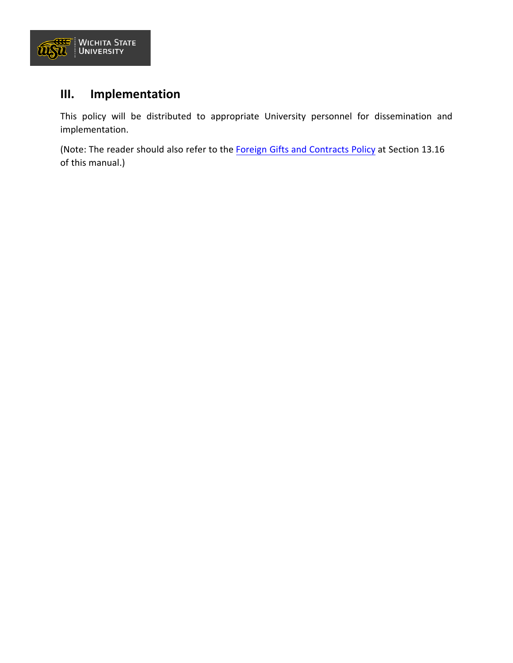

## **III. Implementation**

This policy will be distributed to appropriate University personnel for dissemination and implementation.

(Note: The reader should also refer to the [Foreign Gifts and Contracts Policy](https://www.wichita.edu/about/policy/ch_13/ch13_16.php) at Section 13.16 of this manual.)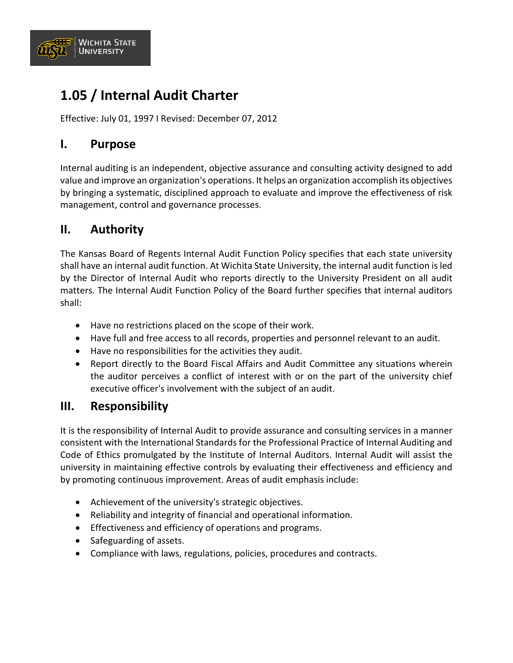

# <span id="page-7-0"></span>**1.05 / Internal Audit Charter**

Effective: July 01, 1997 I Revised: December 07, 2012

### **I. Purpose**

Internal auditing is an independent, objective assurance and consulting activity designed to add value and improve an organization's operations. It helps an organization accomplish its objectives by bringing a systematic, disciplined approach to evaluate and improve the effectiveness of risk management, control and governance processes.

### **II. Authority**

The Kansas Board of Regents Internal Audit Function Policy specifies that each state university shall have an internal audit function. At Wichita State University, the internal audit function is led by the Director of Internal Audit who reports directly to the University President on all audit matters. The Internal Audit Function Policy of the Board further specifies that internal auditors shall:

- Have no restrictions placed on the scope of their work.
- Have full and free access to all records, properties and personnel relevant to an audit.
- Have no responsibilities for the activities they audit.
- Report directly to the Board Fiscal Affairs and Audit Committee any situations wherein the auditor perceives a conflict of interest with or on the part of the university chief executive officer's involvement with the subject of an audit.

### **III. Responsibility**

It is the responsibility of Internal Audit to provide assurance and consulting services in a manner consistent with the International Standards for the Professional Practice of Internal Auditing and Code of Ethics promulgated by the Institute of Internal Auditors. Internal Audit will assist the university in maintaining effective controls by evaluating their effectiveness and efficiency and by promoting continuous improvement. Areas of audit emphasis include:

- Achievement of the university's strategic objectives.
- Reliability and integrity of financial and operational information.
- Effectiveness and efficiency of operations and programs.
- Safeguarding of assets.
- Compliance with laws, regulations, policies, procedures and contracts.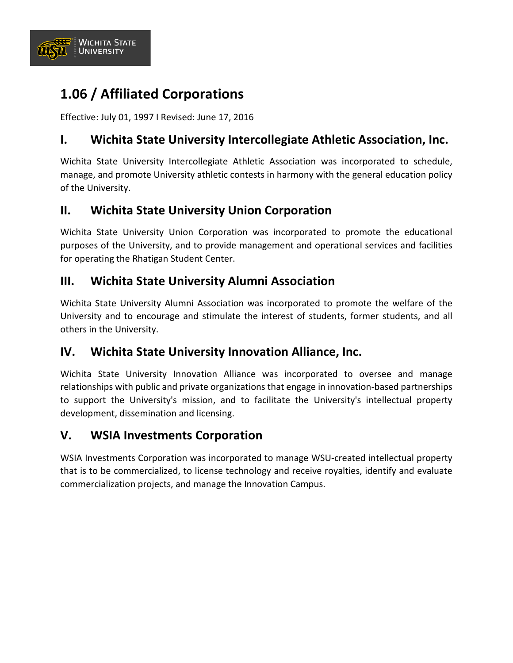

# <span id="page-8-0"></span>**1.06 / Affiliated Corporations**

Effective: July 01, 1997 I Revised: June 17, 2016

## **I. Wichita State University Intercollegiate Athletic Association, Inc.**

Wichita State University Intercollegiate Athletic Association was incorporated to schedule, manage, and promote University athletic contests in harmony with the general education policy of the University.

## **II. Wichita State University Union Corporation**

Wichita State University Union Corporation was incorporated to promote the educational purposes of the University, and to provide management and operational services and facilities for operating the Rhatigan Student Center.

### **III. Wichita State University Alumni Association**

Wichita State University Alumni Association was incorporated to promote the welfare of the University and to encourage and stimulate the interest of students, former students, and all others in the University.

### **IV. Wichita State University Innovation Alliance, Inc.**

Wichita State University Innovation Alliance was incorporated to oversee and manage relationships with public and private organizations that engage in innovation-based partnerships to support the University's mission, and to facilitate the University's intellectual property development, dissemination and licensing.

### **V. WSIA Investments Corporation**

WSIA Investments Corporation was incorporated to manage WSU-created intellectual property that is to be commercialized, to license technology and receive royalties, identify and evaluate commercialization projects, and manage the Innovation Campus.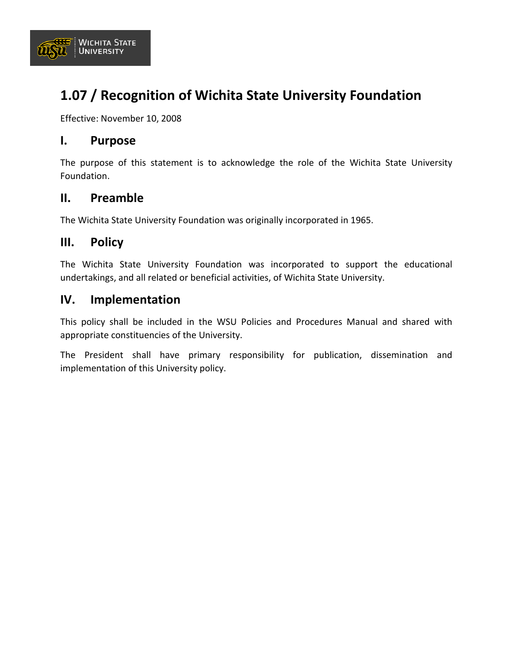

# <span id="page-9-0"></span>**1.07 / Recognition of Wichita State University Foundation**

Effective: November 10, 2008

#### **I. Purpose**

The purpose of this statement is to acknowledge the role of the Wichita State University Foundation.

#### **II. Preamble**

The Wichita State University Foundation was originally incorporated in 1965.

#### **III. Policy**

The Wichita State University Foundation was incorporated to support the educational undertakings, and all related or beneficial activities, of Wichita State University.

#### **IV. Implementation**

This policy shall be included in the WSU Policies and Procedures Manual and shared with appropriate constituencies of the University.

The President shall have primary responsibility for publication, dissemination and implementation of this University policy.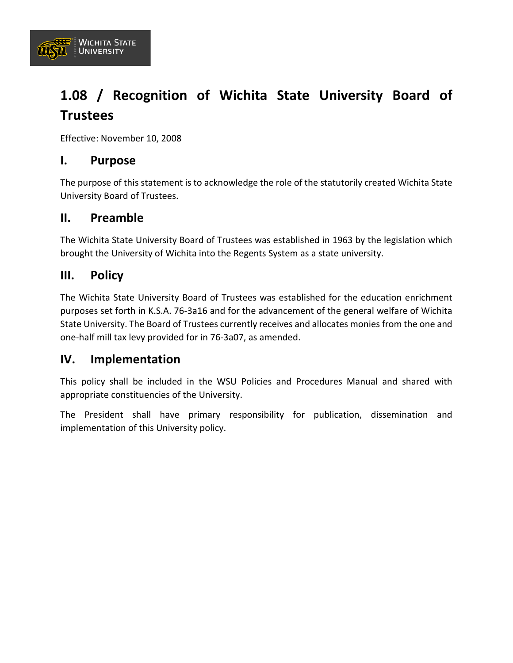<span id="page-10-0"></span>

Effective: November 10, 2008

#### **I. Purpose**

**WICHITA STATE** 

**UNIVERSITY** 

<u>रस्ट</u> UISTI.

> The purpose of this statement is to acknowledge the role of the statutorily created Wichita State University Board of Trustees.

#### **II. Preamble**

The Wichita State University Board of Trustees was established in 1963 by the legislation which brought the University of Wichita into the Regents System as a state university.

#### **III. Policy**

The Wichita State University Board of Trustees was established for the education enrichment purposes set forth in K.S.A. 76-3a16 and for the advancement of the general welfare of Wichita State University. The Board of Trustees currently receives and allocates monies from the one and one-half mill tax levy provided for in 76-3a07, as amended.

#### **IV. Implementation**

This policy shall be included in the WSU Policies and Procedures Manual and shared with appropriate constituencies of the University.

The President shall have primary responsibility for publication, dissemination and implementation of this University policy.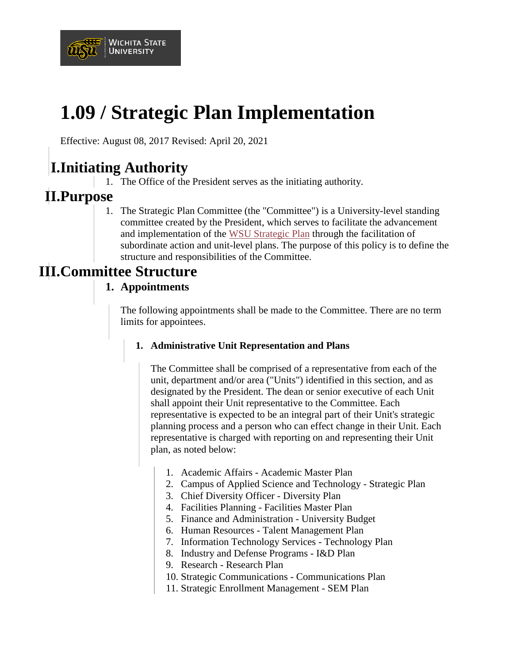

# **1.09 / Strategic Plan Implementation**

Effective: August 08, 2017 Revised: April 20, 2021

# **I.Initiating Authority**

1. The Office of the President serves as the initiating authority.

# **II.Purpose**

1. The Strategic Plan Committee (the "Committee") is a University-level standing committee created by the President, which serves to facilitate the advancement and implementation of the [WSU Strategic Plan](https://www.wichita.edu/about/strategic_plan/WSU_Strategy.php) through the facilitation of subordinate action and unit-level plans. The purpose of this policy is to define the structure and responsibilities of the Committee.

# **III.Committee Structure**

#### **1. Appointments**

The following appointments shall be made to the Committee. There are no term limits for appointees.

#### **1. Administrative Unit Representation and Plans**

The Committee shall be comprised of a representative from each of the unit, department and/or area ("Units") identified in this section, and as designated by the President. The dean or senior executive of each Unit shall appoint their Unit representative to the Committee. Each representative is expected to be an integral part of their Unit's strategic planning process and a person who can effect change in their Unit. Each representative is charged with reporting on and representing their Unit plan, as noted below:

- 1. Academic Affairs Academic Master Plan
- 2. Campus of Applied Science and Technology Strategic Plan
- 3. Chief Diversity Officer Diversity Plan
- 4. Facilities Planning Facilities Master Plan
- 5. Finance and Administration University Budget
- 6. Human Resources Talent Management Plan
- 7. Information Technology Services Technology Plan
- 8. Industry and Defense Programs I&D Plan
- 9. Research Research Plan
- 10. Strategic Communications Communications Plan
- 11. Strategic Enrollment Management SEM Plan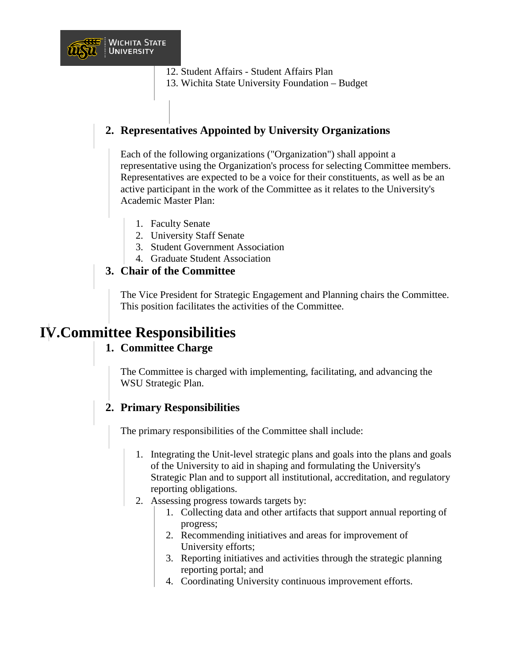

- 12. Student Affairs Student Affairs Plan
- 13. Wichita State University Foundation Budget

### **2. Representatives Appointed by University Organizations**

Each of the following organizations ("Organization") shall appoint a representative using the Organization's process for selecting Committee members. Representatives are expected to be a voice for their constituents, as well as be an active participant in the work of the Committee as it relates to the University's Academic Master Plan:

- 1. Faculty Senate
- 2. University Staff Senate
- 3. Student Government Association
- 4. Graduate Student Association

#### **3. Chair of the Committee**

The Vice President for Strategic Engagement and Planning chairs the Committee. This position facilitates the activities of the Committee.

# **IV.Committee Responsibilities**

#### **1. Committee Charge**

The Committee is charged with implementing, facilitating, and advancing the WSU Strategic Plan.

#### **2. Primary Responsibilities**

The primary responsibilities of the Committee shall include:

- 1. Integrating the Unit-level strategic plans and goals into the plans and goals of the University to aid in shaping and formulating the University's Strategic Plan and to support all institutional, accreditation, and regulatory reporting obligations.
- 2. Assessing progress towards targets by:
	- 1. Collecting data and other artifacts that support annual reporting of progress;
	- 2. Recommending initiatives and areas for improvement of University efforts;
	- 3. Reporting initiatives and activities through the strategic planning reporting portal; and
	- 4. Coordinating University continuous improvement efforts.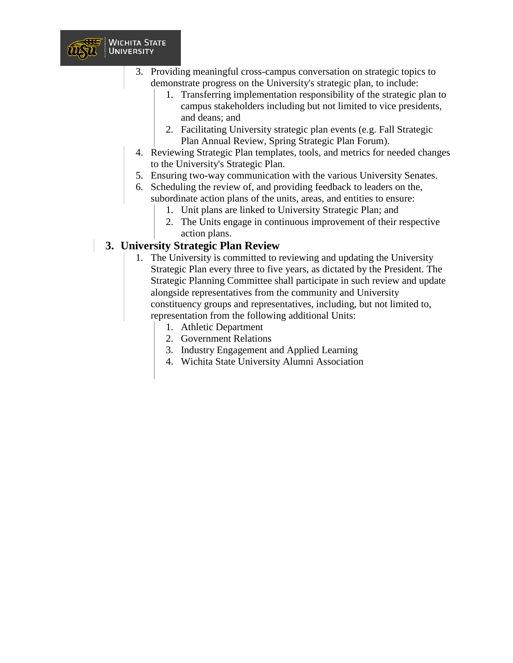

- 1. Transferring implementation responsibility of the strategic plan to campus stakeholders including but not limited to vice presidents, and deans; and
- 2. Facilitating University strategic plan events (e.g. Fall Strategic Plan Annual Review, Spring Strategic Plan Forum).
- 4. Reviewing Strategic Plan templates, tools, and metrics for needed changes to the University's Strategic Plan.
- 5. Ensuring two-way communication with the various University Senates.
- 6. Scheduling the review of, and providing feedback to leaders on the, subordinate action plans of the units, areas, and entities to ensure:
	- 1. Unit plans are linked to University Strategic Plan; and
	- 2. The Units engage in continuous improvement of their respective action plans.

#### **3. University Strategic Plan Review**

**WICHITA STATE** 

**UNIVERSITY** 

UISTI.

- 1. The University is committed to reviewing and updating the University Strategic Plan every three to five years, as dictated by the President. The Strategic Planning Committee shall participate in such review and update alongside representatives from the community and University constituency groups and representatives, including, but not limited to, representation from the following additional Units:
	- 1. Athletic Department
	- 2. Government Relations
	- 3. Industry Engagement and Applied Learning
	- 4. Wichita State University Alumni Association